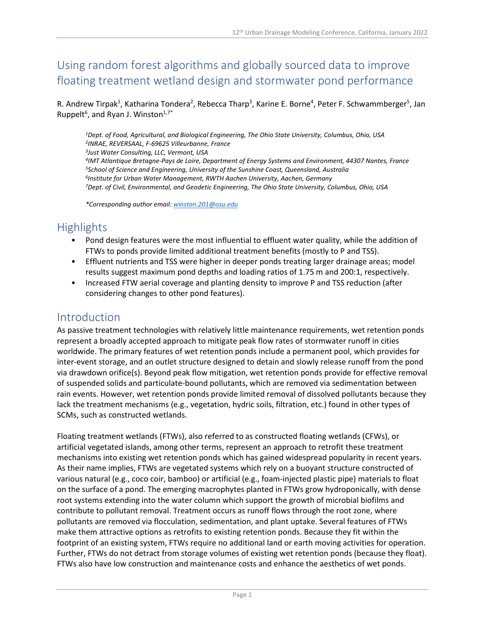# Using random forest algorithms and globally sourced data to improve floating treatment wetland design and stormwater pond performance

R. Andrew Tirpak<sup>1</sup>, Katharina Tondera<sup>2</sup>, Rebecca Tharp<sup>3</sup>, Karine E. Borne<sup>4</sup>, Peter F. Schwammberger<sup>5</sup>, Jan Ruppelt<sup>6</sup>, and Ryan J. Winston<sup>1,7\*</sup>

*1Dept. of Food, Agricultural, and Biological Engineering, The Ohio State University, Columbus, Ohio, USA 2INRAE, REVERSAAL, F-69625 Villeurbanne, France 3Just Water Consulting, LLC, Vermont, USA 4IMT Atlantique Bretagne-Pays de Loire, Department of Energy Systems and Environment, 44307 Nantes, France 5School of Science and Engineering, University of the Sunshine Coast, Queensland, Australia 6Institute for Urban Water Management, RWTH Aachen University, Aachen, Germany 7Dept. of Civil, Environmental, and Geodetic Engineering, The Ohio State University, Columbus, Ohio, USA*

*\*Corresponding author email: [winston.201@osu.edu](mailto:winston.201@osu.edu)*

# **Highlights**

- Pond design features were the most influential to effluent water quality, while the addition of FTWs to ponds provide limited additional treatment benefits (mostly to P and TSS).
- Effluent nutrients and TSS were higher in deeper ponds treating larger drainage areas; model results suggest maximum pond depths and loading ratios of 1.75 m and 200:1, respectively.
- Increased FTW aerial coverage and planting density to improve P and TSS reduction (after considering changes to other pond features).

### Introduction

As passive treatment technologies with relatively little maintenance requirements, wet retention ponds represent a broadly accepted approach to mitigate peak flow rates of stormwater runoff in cities worldwide. The primary features of wet retention ponds include a permanent pool, which provides for inter-event storage, and an outlet structure designed to detain and slowly release runoff from the pond via drawdown orifice(s). Beyond peak flow mitigation, wet retention ponds provide for effective removal of suspended solids and particulate-bound pollutants, which are removed via sedimentation between rain events. However, wet retention ponds provide limited removal of dissolved pollutants because they lack the treatment mechanisms (e.g., vegetation, hydric soils, filtration, etc.) found in other types of SCMs, such as constructed wetlands.

Floating treatment wetlands (FTWs), also referred to as constructed floating wetlands (CFWs), or artificial vegetated islands, among other terms, represent an approach to retrofit these treatment mechanisms into existing wet retention ponds which has gained widespread popularity in recent years. As their name implies, FTWs are vegetated systems which rely on a buoyant structure constructed of various natural (e.g., coco coir, bamboo) or artificial (e.g., foam-injected plastic pipe) materials to float on the surface of a pond. The emerging macrophytes planted in FTWs grow hydroponically, with dense root systems extending into the water column which support the growth of microbial biofilms and contribute to pollutant removal. Treatment occurs as runoff flows through the root zone, where pollutants are removed via flocculation, sedimentation, and plant uptake. Several features of FTWs make them attractive options as retrofits to existing retention ponds. Because they fit within the footprint of an existing system, FTWs require no additional land or earth moving activities for operation. Further, FTWs do not detract from storage volumes of existing wet retention ponds (because they float). FTWs also have low construction and maintenance costs and enhance the aesthetics of wet ponds.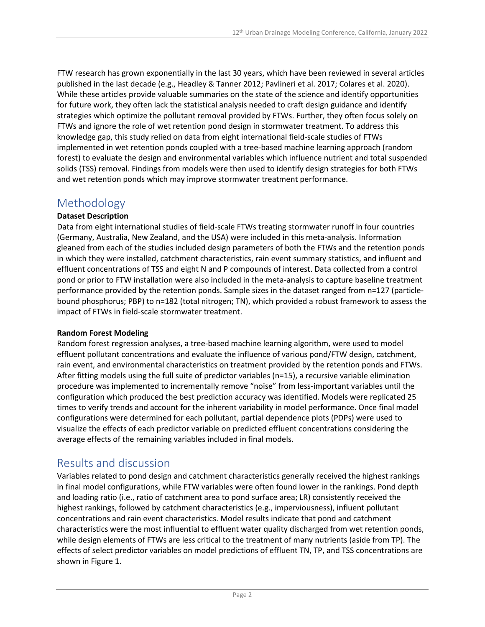FTW research has grown exponentially in the last 30 years, which have been reviewed in several articles published in the last decade (e.g., Headley & Tanner 2012; Pavlineri et al. 2017; Colares et al. 2020). While these articles provide valuable summaries on the state of the science and identify opportunities for future work, they often lack the statistical analysis needed to craft design guidance and identify strategies which optimize the pollutant removal provided by FTWs. Further, they often focus solely on FTWs and ignore the role of wet retention pond design in stormwater treatment. To address this knowledge gap, this study relied on data from eight international field-scale studies of FTWs implemented in wet retention ponds coupled with a tree-based machine learning approach (random forest) to evaluate the design and environmental variables which influence nutrient and total suspended solids (TSS) removal. Findings from models were then used to identify design strategies for both FTWs and wet retention ponds which may improve stormwater treatment performance.

### Methodology

#### **Dataset Description**

Data from eight international studies of field-scale FTWs treating stormwater runoff in four countries (Germany, Australia, New Zealand, and the USA) were included in this meta-analysis. Information gleaned from each of the studies included design parameters of both the FTWs and the retention ponds in which they were installed, catchment characteristics, rain event summary statistics, and influent and effluent concentrations of TSS and eight N and P compounds of interest. Data collected from a control pond or prior to FTW installation were also included in the meta-analysis to capture baseline treatment performance provided by the retention ponds. Sample sizes in the dataset ranged from n=127 (particlebound phosphorus; PBP) to n=182 (total nitrogen; TN), which provided a robust framework to assess the impact of FTWs in field-scale stormwater treatment.

#### **Random Forest Modeling**

Random forest regression analyses, a tree-based machine learning algorithm, were used to model effluent pollutant concentrations and evaluate the influence of various pond/FTW design, catchment, rain event, and environmental characteristics on treatment provided by the retention ponds and FTWs. After fitting models using the full suite of predictor variables (n=15), a recursive variable elimination procedure was implemented to incrementally remove "noise" from less-important variables until the configuration which produced the best prediction accuracy was identified. Models were replicated 25 times to verify trends and account for the inherent variability in model performance. Once final model configurations were determined for each pollutant, partial dependence plots (PDPs) were used to visualize the effects of each predictor variable on predicted effluent concentrations considering the average effects of the remaining variables included in final models.

# Results and discussion

Variables related to pond design and catchment characteristics generally received the highest rankings in final model configurations, while FTW variables were often found lower in the rankings. Pond depth and loading ratio (i.e., ratio of catchment area to pond surface area; LR) consistently received the highest rankings, followed by catchment characteristics (e.g., imperviousness), influent pollutant concentrations and rain event characteristics. Model results indicate that pond and catchment characteristics were the most influential to effluent water quality discharged from wet retention ponds, while design elements of FTWs are less critical to the treatment of many nutrients (aside from TP). The effects of select predictor variables on model predictions of effluent TN, TP, and TSS concentrations are shown in Figure 1.